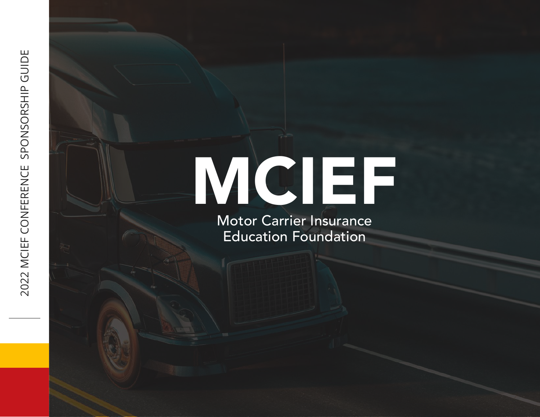# MCIEF

Motor Carrier Insurance Education Foundation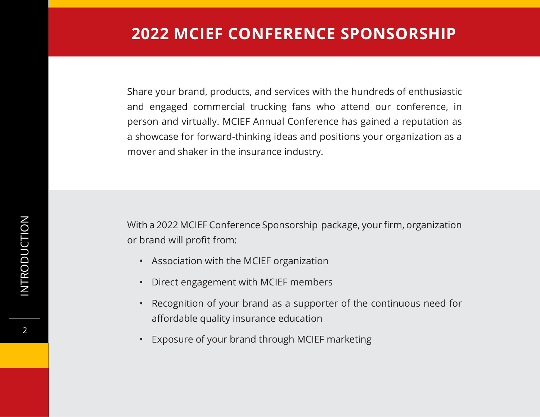Share your brand, products, and services with the hundreds of enthusiastic and engaged commercial trucking fans who attend our conference, in person and virtually. MCIEF Annual Conference has gained a reputation as a showcase for forward-thinking ideas and positions your organization as a mover and shaker in the insurance industry.

With a 2022 MCIEF Conference Sponsorship package, your firm, organization or brand will profit from:

- Association with the MCIEF organization
- Direct engagement with MCIEF members
- Recognition of your brand as a supporter of the continuous need for affordable quality insurance education
- Exposure of your brand through MCIEF marketing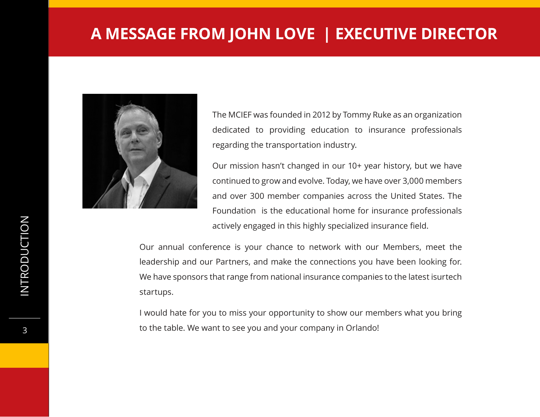#### **A MESSAGE FROM JOHN LOVE | EXECUTIVE DIRECTOR**



The MCIEF was founded in 2012 by Tommy Ruke as an organization dedicated to providing education to insurance professionals regarding the transportation industry.

Our mission hasn't changed in our 10+ year history, but we have continued to grow and evolve. Today, we have over 3,000 members and over 300 member companies across the United States. The Foundation is the educational home for insurance professionals actively engaged in this highly specialized insurance field.

Our annual conference is your chance to network with our Members, meet the leadership and our Partners, and make the connections you have been looking for. We have sponsors that range from national insurance companies to the latest isurtech startups.

I would hate for you to miss your opportunity to show our members what you bring to the table. We want to see you and your company in Orlando!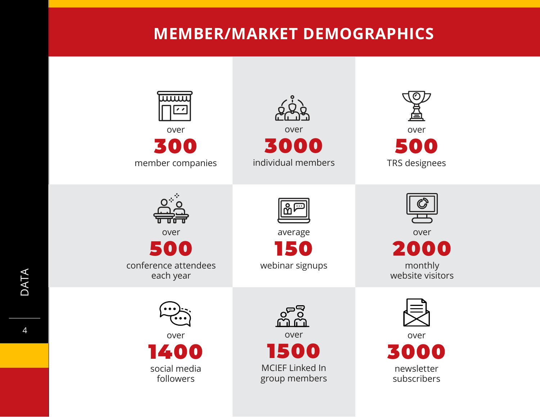### **MEMBER/MARKET DEMOGRAPHICS**

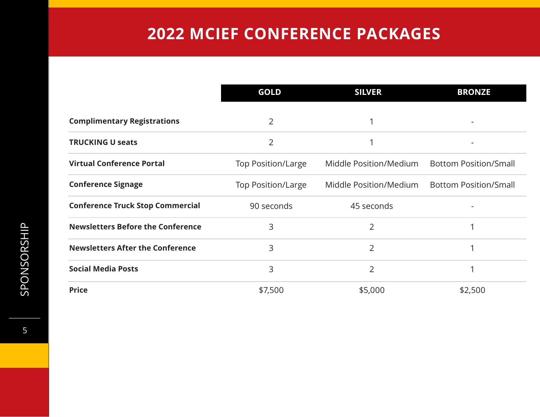## **2022 MCIEF CONFERENCE PACKAGES**

|                                          | <b>GOLD</b>               | <b>SILVER</b>          | <b>BRONZE</b>                |
|------------------------------------------|---------------------------|------------------------|------------------------------|
| <b>Complimentary Registrations</b>       | 2                         |                        |                              |
| <b>TRUCKING U seats</b>                  | 2                         |                        |                              |
| <b>Virtual Conference Portal</b>         | <b>Top Position/Large</b> | Middle Position/Medium | <b>Bottom Position/Small</b> |
| <b>Conference Signage</b>                | <b>Top Position/Large</b> | Middle Position/Medium | <b>Bottom Position/Small</b> |
| <b>Conference Truck Stop Commercial</b>  | 90 seconds                | 45 seconds             |                              |
| <b>Newsletters Before the Conference</b> | 3                         | 2                      |                              |
| <b>Newsletters After the Conference</b>  | 3                         | $\overline{2}$         |                              |
| <b>Social Media Posts</b>                | 3                         | 2                      |                              |
| <b>Price</b>                             | \$7,500                   | \$5,000                | \$2,500                      |